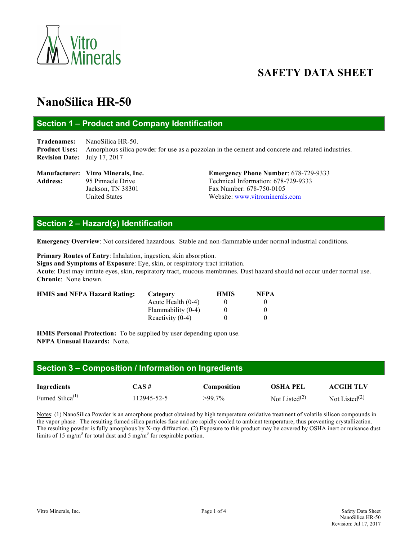

# **SAFETY DATA SHEET**

# **NanoSilica HR-50**

# **Section 1 – Product and Company Identification**

**Tradenames:** NanoSilica HR-50. **Product Uses:** Amorphous silica powder for use as a pozzolan in the cement and concrete and related industries. **Revision Date:** July 17, 2017

Address: 95 Pinnacle Drive Technical Information: 678-729-9333

**Manufacturer: Vitro Minerals, Inc. Emergency Phone Number**: 678-729-9333 Jackson, TN 38301 Fax Number: 678-750-0105 United States Website: www.vitrominerals.com

# **Section 2 – Hazard(s) Identification**

**Emergency Overview**: Not considered hazardous. Stable and non-flammable under normal industrial conditions.

**Primary Routes of Entry**: Inhalation, ingestion, skin absorption. **Signs and Symptoms of Exposure**: Eye, skin, or respiratory tract irritation. **Acute**: Dust may irritate eyes, skin, respiratory tract, mucous membranes. Dust hazard should not occur under normal use. **Chronic**: None known.

| <b>HMIS and NFPA Hazard Rating:</b> | Category             | <b>HMIS</b> | <b>NFPA</b> |
|-------------------------------------|----------------------|-------------|-------------|
|                                     | Acute Health $(0-4)$ |             |             |
|                                     | Flammability (0-4)   |             |             |
|                                     | Reactivity $(0-4)$   |             |             |

**HMIS Personal Protection:** To be supplied by user depending upon use. **NFPA Unusual Hazards:** None.

| Section 3 – Composition / Information on Ingredients |             |             |                  |                  |  |  |
|------------------------------------------------------|-------------|-------------|------------------|------------------|--|--|
| Ingredients                                          | CAS#        | Composition | <b>OSHA PEL</b>  | <b>ACGIH TLV</b> |  |  |
| Fumed Silica <sup><math>(1)</math></sup>             | 112945-52-5 | $>99.7\%$   | Not Listed $(2)$ | Not Listed $(2)$ |  |  |

Notes: (1) NanoSilica Powder is an amorphous product obtained by high temperature oxidative treatment of volatile silicon compounds in the vapor phase. The resulting fumed silica particles fuse and are rapidly cooled to ambient temperature, thus preventing crystallization. The resulting powder is fully amorphous by X-ray diffraction. (2) Exposure to this product may be covered by OSHA inert or nuisance dust limits of 15 mg/m<sup>3</sup> for total dust and 5 mg/m<sup>3</sup> for respirable portion.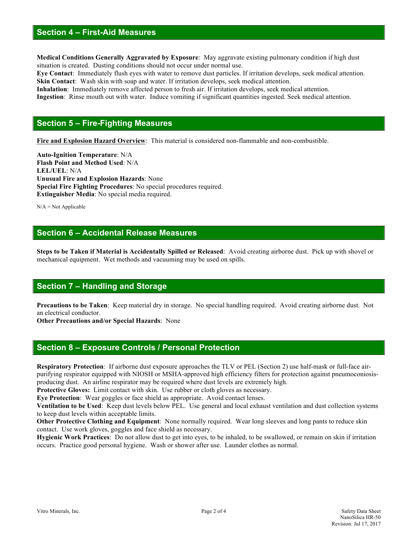#### **Section 4 – First-Aid Measures**

**Medical Conditions Generally Aggravated by Exposure**: May aggravate existing pulmonary condition if high dust situation is created. Dusting conditions should not occur under normal use.

**Eye Contact**: Immediately flush eyes with water to remove dust particles. If irritation develops, seek medical attention. **Skin Contact:** Wash skin with soap and water. If irritation develops, seek medical attention.

**Inhalation**: Immediately remove affected person to fresh air. If irritation develops, seek medical attention. **Ingestion**: Rinse mouth out with water. Induce vomiting if significant quantities ingested. Seek medical attention.

#### **Section 5 – Fire-Fighting Measures**

**Fire and Explosion Hazard Overview**: This material is considered non-flammable and non-combustible.

**Auto-Ignition Temperature**: N/A **Flash Point and Method Used**: N/A **LEL/UEL**: N/A **Unusual Fire and Explosion Hazards**: None **Special Fire Fighting Procedures**: No special procedures required. **Extinguisher Media**: No special media required.

 $N/A = Not$  Applicable

### **Section 6 – Accidental Release Measures**

**Steps to be Taken if Material is Accidentally Spilled or Released**: Avoid creating airborne dust. Pick up with shovel or mechanical equipment. Wet methods and vacuuming may be used on spills.

#### **Section 7 – Handling and Storage**

**Precautions to be Taken**: Keep material dry in storage. No special handling required. Avoid creating airborne dust. Not an electrical conductor.

**Other Precautions and/or Special Hazards**: None

#### **Section 8 – Exposure Controls / Personal Protection**

**Respiratory Protection**: If airborne dust exposure approaches the TLV or PEL (Section 2) use half-mask or full-face airpurifying respirator equipped with NIOSH or MSHA-approved high efficiency filters for protection against pneumoconiosisproducing dust. An airline respirator may be required where dust levels are extremely high.

**Protective Gloves:** Limit contact with skin. Use rubber or cloth gloves as necessary.

**Eye Protection**: Wear goggles or face shield as appropriate. Avoid contact lenses.

**Ventilation to be Used**: Keep dust levels below PEL. Use general and local exhaust ventilation and dust collection systems to keep dust levels within acceptable limits.

**Other Protective Clothing and Equipment**: None normally required. Wear long sleeves and long pants to reduce skin contact. Use work gloves, goggles and face shield as necessary.

**Hygienic Work Practices**: Do not allow dust to get into eyes, to be inhaled, to be swallowed, or remain on skin if irritation occurs. Practice good personal hygiene. Wash or shower after use. Launder clothes as normal.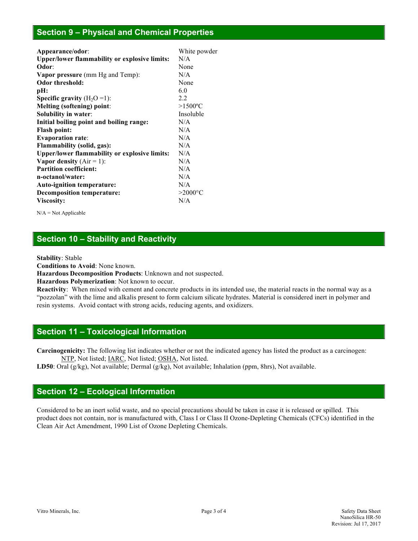#### **Section 9 – Physical and Chemical Properties**

| Appearance/odor:                                     | White powder           |  |
|------------------------------------------------------|------------------------|--|
| Upper/lower flammability or explosive limits:        | N/A                    |  |
| Odor:                                                | None                   |  |
| <b>Vapor pressure</b> (mm Hg and Temp):              | N/A                    |  |
| <b>Odor threshold:</b>                               | None                   |  |
| pH:                                                  | 6.0                    |  |
| <b>Specific gravity</b> $(H_2O=1)$ :                 | 2.2                    |  |
| Melting (softening) point:                           | $>1500$ <sup>o</sup> C |  |
| Solubility in water:                                 | Insoluble              |  |
| Initial boiling point and boiling range:             | N/A                    |  |
| <b>Flash point:</b>                                  | N/A                    |  |
| <b>Evaporation rate:</b>                             | N/A                    |  |
| <b>Flammability (solid, gas):</b>                    | N/A                    |  |
| <b>Upper/lower flammability or explosive limits:</b> | N/A                    |  |
| <b>Vapor density</b> $(Air = 1)$ :                   | N/A                    |  |
| <b>Partition coefficient:</b>                        | N/A                    |  |
| n-octanol/water:                                     | N/A                    |  |
| <b>Auto-ignition temperature:</b>                    | N/A                    |  |
| <b>Decomposition temperature:</b>                    | $>2000^{\circ}$ C      |  |
| Viscosity:                                           | N/A                    |  |

 $N/A = Not$  Applicable

# **Section 10 – Stability and Reactivity**

**Stability**: Stable

**Conditions to Avoid**: None known.

**Hazardous Decomposition Products**: Unknown and not suspected.

**Hazardous Polymerization**: Not known to occur.

**Reactivity**:When mixed with cement and concrete products in its intended use, the material reacts in the normal way as a "pozzolan" with the lime and alkalis present to form calcium silicate hydrates. Material is considered inert in polymer and resin systems. Avoid contact with strong acids, reducing agents, and oxidizers.

## **Section 11 – Toxicological Information**

**Carcinogenicity:** The following list indicates whether or not the indicated agency has listed the product as a carcinogen: NTP, Not listed; IARC, Not listed; OSHA, Not listed.

**LD50**: Oral (g/kg), Not available; Dermal (g/kg), Not available; Inhalation (ppm, 8hrs), Not available.

# **Section 12 – Ecological Information**

Considered to be an inert solid waste, and no special precautions should be taken in case it is released or spilled. This product does not contain, nor is manufactured with, Class I or Class II Ozone-Depleting Chemicals (CFCs) identified in the Clean Air Act Amendment, 1990 List of Ozone Depleting Chemicals.